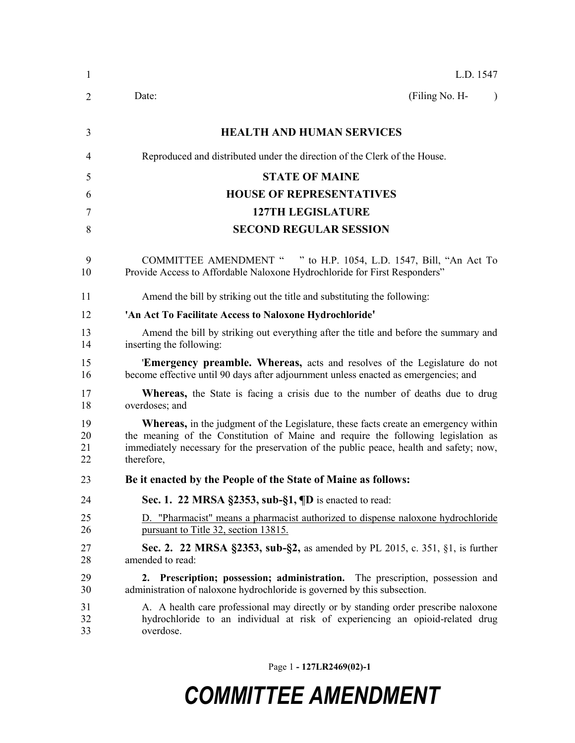| 1                    | L.D. 1547                                                                                                                                                                                                                                                                                |
|----------------------|------------------------------------------------------------------------------------------------------------------------------------------------------------------------------------------------------------------------------------------------------------------------------------------|
| 2                    | (Filing No. H-<br>Date:<br>$\lambda$                                                                                                                                                                                                                                                     |
| 3                    | <b>HEALTH AND HUMAN SERVICES</b>                                                                                                                                                                                                                                                         |
| 4                    | Reproduced and distributed under the direction of the Clerk of the House.                                                                                                                                                                                                                |
| 5                    | <b>STATE OF MAINE</b>                                                                                                                                                                                                                                                                    |
| 6                    | <b>HOUSE OF REPRESENTATIVES</b>                                                                                                                                                                                                                                                          |
| 7                    | <b>127TH LEGISLATURE</b>                                                                                                                                                                                                                                                                 |
| 8                    | <b>SECOND REGULAR SESSION</b>                                                                                                                                                                                                                                                            |
| 9<br>10              | COMMITTEE AMENDMENT " " to H.P. 1054, L.D. 1547, Bill, "An Act To<br>Provide Access to Affordable Naloxone Hydrochloride for First Responders"                                                                                                                                           |
| 11                   | Amend the bill by striking out the title and substituting the following:                                                                                                                                                                                                                 |
| 12                   | 'An Act To Facilitate Access to Naloxone Hydrochloride'                                                                                                                                                                                                                                  |
| 13<br>14             | Amend the bill by striking out everything after the title and before the summary and<br>inserting the following:                                                                                                                                                                         |
| 15<br>16             | <b>Emergency preamble. Whereas,</b> acts and resolves of the Legislature do not<br>become effective until 90 days after adjournment unless enacted as emergencies; and                                                                                                                   |
| 17<br>18             | <b>Whereas</b> , the State is facing a crisis due to the number of deaths due to drug<br>overdoses; and                                                                                                                                                                                  |
| 19<br>20<br>21<br>22 | <b>Whereas,</b> in the judgment of the Legislature, these facts create an emergency within<br>the meaning of the Constitution of Maine and require the following legislation as<br>immediately necessary for the preservation of the public peace, health and safety; now,<br>therefore, |
| 23                   | Be it enacted by the People of the State of Maine as follows:                                                                                                                                                                                                                            |
| 24                   | Sec. 1. 22 MRSA $\S$ 2353, sub- $\S$ 1, $\P$ D is enacted to read:                                                                                                                                                                                                                       |
| 25<br>26             | D. "Pharmacist" means a pharmacist authorized to dispense naloxone hydrochloride<br>pursuant to Title 32, section 13815.                                                                                                                                                                 |
| 27<br>28             | Sec. 2. 22 MRSA §2353, sub-§2, as amended by PL 2015, c. 351, §1, is further<br>amended to read:                                                                                                                                                                                         |
| 29<br>30             | 2. Prescription; possession; administration. The prescription, possession and<br>administration of naloxone hydrochloride is governed by this subsection.                                                                                                                                |
| 31<br>32<br>33       | A. A health care professional may directly or by standing order prescribe naloxone<br>hydrochloride to an individual at risk of experiencing an opioid-related drug<br>overdose.                                                                                                         |

Page 1 **- 127LR2469(02)-1**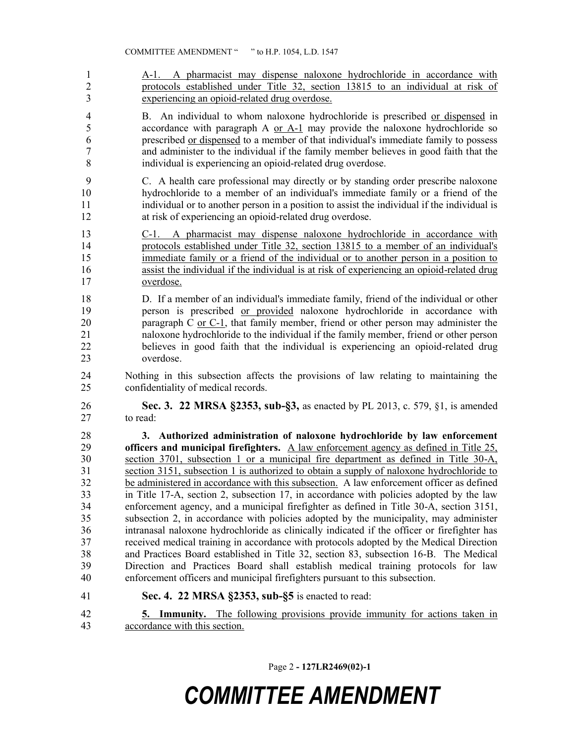A-1. A pharmacist may dispense naloxone hydrochloride in accordance with protocols established under Title 32, section 13815 to an individual at risk of experiencing an opioid-related drug overdose.

 B. An individual to whom naloxone hydrochloride is prescribed or dispensed in 5 accordance with paragraph A or A-1 may provide the naloxone hydrochloride so prescribed or dispensed to a member of that individual's immediate family to possess and administer to the individual if the family member believes in good faith that the individual is experiencing an opioid-related drug overdose.

 C. A health care professional may directly or by standing order prescribe naloxone hydrochloride to a member of an individual's immediate family or a friend of the individual or to another person in a position to assist the individual if the individual is at risk of experiencing an opioid-related drug overdose.

 C-1. A pharmacist may dispense naloxone hydrochloride in accordance with protocols established under Title 32, section 13815 to a member of an individual's 15 immediate family or a friend of the individual or to another person in a position to assist the individual if the individual is at risk of experiencing an opioid-related drug overdose.

 D. If a member of an individual's immediate family, friend of the individual or other person is prescribed or provided naloxone hydrochloride in accordance with paragraph C or C-1, that family member, friend or other person may administer the naloxone hydrochloride to the individual if the family member, friend or other person believes in good faith that the individual is experiencing an opioid-related drug overdose.

 Nothing in this subsection affects the provisions of law relating to maintaining the confidentiality of medical records.

 **Sec. 3. 22 MRSA §2353, sub-§3,** as enacted by PL 2013, c. 579, §1, is amended to read:

 **3. Authorized administration of naloxone hydrochloride by law enforcement officers and municipal firefighters.** A law enforcement agency as defined in Title 25, section 3701, subsection 1 or a municipal fire department as defined in Title 30-A, section 3151, subsection 1 is authorized to obtain a supply of naloxone hydrochloride to be administered in accordance with this subsection. A law enforcement officer as defined in Title 17-A, section 2, subsection 17, in accordance with policies adopted by the law enforcement agency, and a municipal firefighter as defined in Title 30-A, section 3151, subsection 2, in accordance with policies adopted by the municipality, may administer intranasal naloxone hydrochloride as clinically indicated if the officer or firefighter has received medical training in accordance with protocols adopted by the Medical Direction and Practices Board established in Title 32, section 83, subsection 16-B. The Medical Direction and Practices Board shall establish medical training protocols for law enforcement officers and municipal firefighters pursuant to this subsection.

**Sec. 4. 22 MRSA §2353, sub-§5** is enacted to read:

 **5. Immunity.** The following provisions provide immunity for actions taken in accordance with this section.

Page 2 **- 127LR2469(02)-1**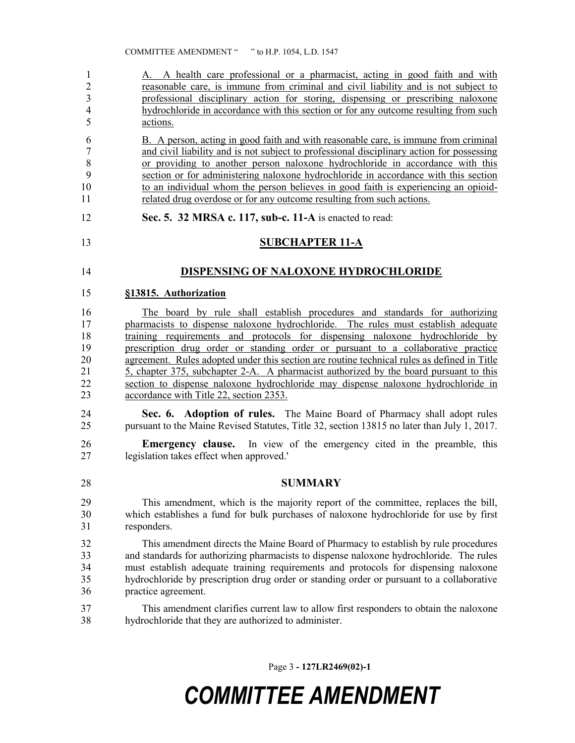A. A health care professional or a pharmacist, acting in good faith and with reasonable care, is immune from criminal and civil liability and is not subject to professional disciplinary action for storing, dispensing or prescribing naloxone hydrochloride in accordance with this section or for any outcome resulting from such actions.

 B. A person, acting in good faith and with reasonable care, is immune from criminal and civil liability and is not subject to professional disciplinary action for possessing or providing to another person naloxone hydrochloride in accordance with this section or for administering naloxone hydrochloride in accordance with this section to an individual whom the person believes in good faith is experiencing an opioid-related drug overdose or for any outcome resulting from such actions.

**Sec. 5. 32 MRSA c. 117, sub-c. 11-A** is enacted to read:

### **SUBCHAPTER 11-A**

### **DISPENSING OF NALOXONE HYDROCHLORIDE**

#### **§13815. Authorization**

 The board by rule shall establish procedures and standards for authorizing 17 pharmacists to dispense naloxone hydrochloride. The rules must establish adequate training requirements and protocols for dispensing naloxone hydrochloride by prescription drug order or standing order or pursuant to a collaborative practice agreement. Rules adopted under this section are routine technical rules as defined in Title 5, chapter 375, subchapter 2-A. A pharmacist authorized by the board pursuant to this section to dispense naloxone hydrochloride may dispense naloxone hydrochloride in accordance with Title 22, section 2353.

- **Sec. 6. Adoption of rules.** The Maine Board of Pharmacy shall adopt rules pursuant to the Maine Revised Statutes, Title 32, section 13815 no later than July 1, 2017.
- **Emergency clause.** In view of the emergency cited in the preamble, this legislation takes effect when approved.'

#### **SUMMARY**

 This amendment, which is the majority report of the committee, replaces the bill, which establishes a fund for bulk purchases of naloxone hydrochloride for use by first responders.

 This amendment directs the Maine Board of Pharmacy to establish by rule procedures and standards for authorizing pharmacists to dispense naloxone hydrochloride. The rules must establish adequate training requirements and protocols for dispensing naloxone hydrochloride by prescription drug order or standing order or pursuant to a collaborative practice agreement.

 This amendment clarifies current law to allow first responders to obtain the naloxone hydrochloride that they are authorized to administer.

Page 3 **- 127LR2469(02)-1**